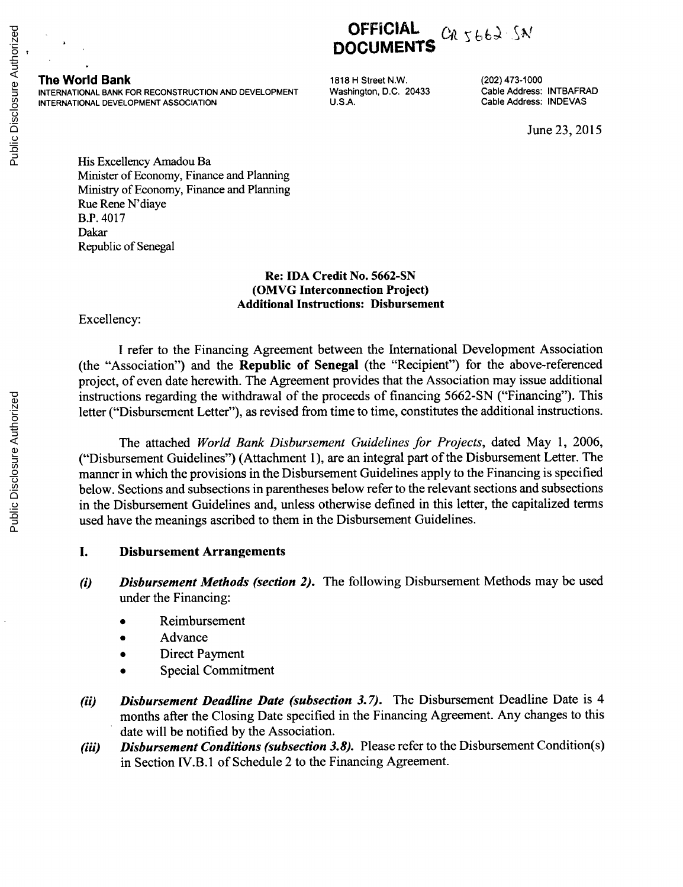#### **The World Bank 1818 H** Street N.W. (202) 473-1000<br> **INTERNATIONAL BANK FOR RECONSTRUCTION AND DEVELOPMENT** Washington, D.C. 20433 Cable Address: INTBAFRAD INTERNATIONAL BANK FOR RECONSTRUCTION AND DEVELOPMENT Washington, D.C. 20433 Cable Address: INTBAFRA<br>INTERNATIONAL DEVELOPMENT ASSOCIATION U.S.A. U.S.A. Cable Address: INDEVAS **INTERNATIONAL DEVELOPMENT ASSOCIATION**

**DOCUMENTS**

**OFFICIAL** *CR 5662 SN* 

June **23, 2015**

His Excellency Amadou Ba Minister of Economy, Finance and Planning Ministry of Economy, Finance and Planning Rue Rene N'diaye B.P. 4017 Dakar Republic of Senegal

### **Re: IDA Credit** No. **5662-SN (OMVG Interconnection Project) Additional Instructions: Disbursement**

Excellency:

**I** refer to the Financing Agreement between the International Development Association (the "Association") and the Republic of Senegal (the "Recipient") for the above-referenced project, of even date herewith. The Agreement provides that the Association may issue additional instructions regarding the withdrawal of the proceeds of financing **5662-SN** ("Financing"). This letter ("Disbursement Letter"), as revised from time to time, constitutes the additional instructions.

The attached *World Bank Disbursement Guidelines for Projects,* dated May **1, 2006,** ("Disbursement Guidelines") (Attachment **1),** are an integral part of the Disbursement Letter. The manner in which the provisions in the Disbursement Guidelines apply to the Financing is specified below. Sections and subsections in parentheses below refer to the relevant sections and subsections in the Disbursement Guidelines and, unless otherwise defined in this letter, the capitalized terms used have the meanings ascribed to them in the Disbursement Guidelines.

### **I. Disbursement Arrangements**

- *(i) Disbursement Methods (section 2).* The following Disbursement Methods may be used under the Financing:
	- **Reimbursement**
	- Advance
	- Direct Payment
	- Special Commitment
- *(ii) Disbursement Deadline Date (subsection 3.7).* The Disbursement Deadline Date is 4 months after the Closing Date specified in the Financing Agreement. Any changes to this date will be notified **by** the Association.
- *(iii) Disbursement Conditions (subsection 3.8).* Please refer to the Disbursement Condition(s) in Section IV.B.1 of Schedule 2 to the Financing Agreement.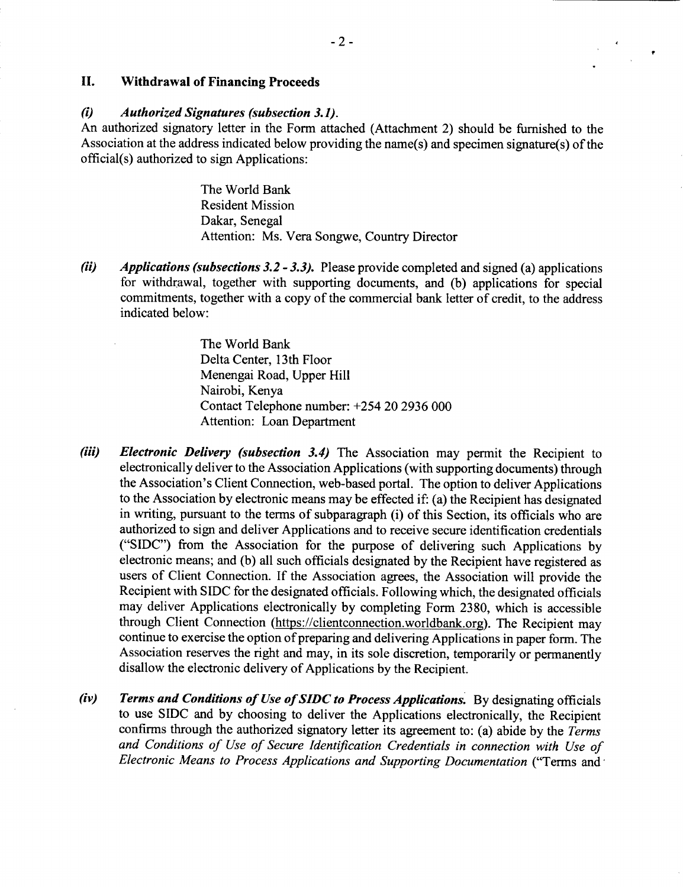## **II. Withdrawal of Financing Proceeds**

## *(i) Authorized Signatures (subsection 3.1).*

An authorized signatory letter in the Form attached (Attachment 2) should be furnished to the Association at the address indicated below providing the name(s) and specimen signature(s) of the official(s) authorized to sign Applications:

> The World Bank Resident Mission Dakar, Senegal Attention: Ms. Vera Songwe, Country Director

*(ii) Applications (subsections 3.2* **-** *3.3).* Please provide completed and signed (a) applications for withdrawal, together with supporting documents, and **(b)** applications for special commitments, together with a copy of the commercial bank letter of credit, to the address indicated below:

> The World Bank Delta Center, 13th Floor Menengai Road, Upper Hill Nairobi, Kenya Contact Telephone number: *+254* 20 **2936 000** Attention: Loan Department

- *(iii) Electronic Delivery (subsection 3.4)* The Association may permit the Recipient to electronically deliver to the Association Applications (with supporting documents) through the Association's Client Connection, web-based portal. The option to deliver Applications to the Association **by** electronic means may be effected if: (a) the Recipient has designated in writing, pursuant to the terms of subparagraph (i) of this Section, its officials who are authorized to sign and deliver Applications and to receive secure identification credentials **("SIDC")** from the Association for the purpose of delivering such Applications **by** electronic means; and **(b)** all such officials designated **by** the Recipient have registered as users of Client Connection. **If** the Association agrees, the Association will provide the Recipient with **SIDC** for the designated officials. Following which, the designated officials may deliver Applications electronically **by** completing Form **2380,** which is accessible through Client Connection (https://clientconnection.worldbank.org). The Recipient may continue to exercise the option of preparing and delivering Applications in paper form. The Association reserves the right and may, in its sole discretion, temporarily or permanently disallow the electronic delivery of Applications **by** the Recipient.
- *(iv) Terms and Conditions of Use of SIDC to Process Applications.* **By** designating officials to use **SIDC** and **by** choosing to deliver the Applications electronically, the Recipient confirms through the authorized signatory letter its agreement to: (a) abide **by** the *Terms and Conditions of Use of Secure Identification Credentials in connection with Use of Electronic Means to Process Applications and Supporting Documentation* ("Terms and,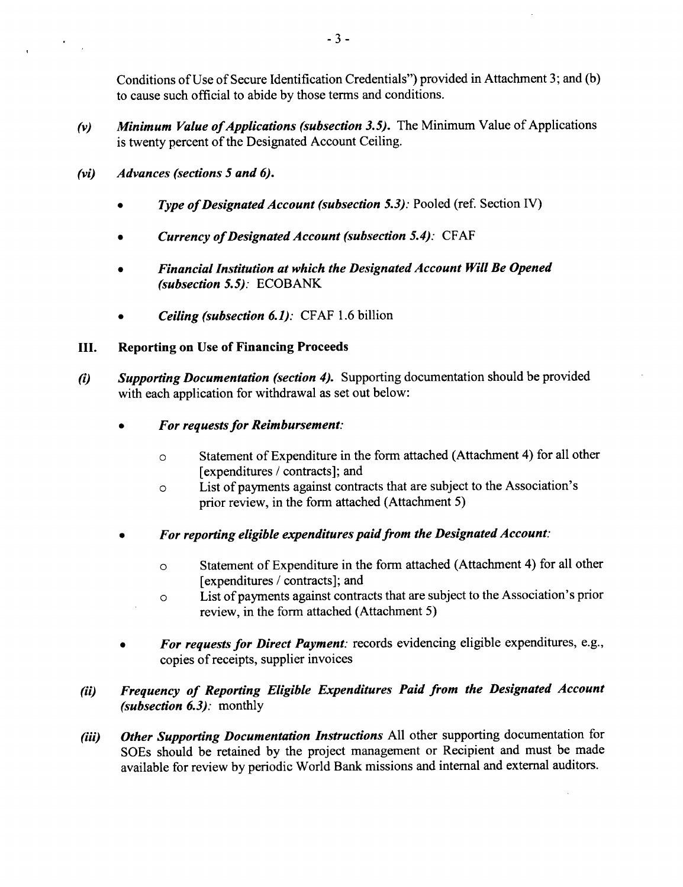Conditions of Use of Secure Identification Credentials") provided in Attachment **3;** and **(b)** to cause such official to abide **by** those terms and conditions.

- *(v) Minimum Value ofApplications (subsection 3.5).* The Minimum Value of Applications is twenty percent of the Designated Account Ceiling.
- *(vi) Advances (sections 5 and 6).*
	- *Type of Designated Account (subsection 5.3): Pooled (ref. Section IV)*
	- *\* Currency ofDesignated Account (subsection 5.4):* **CFAF**
	- *\* Financial Institution at which the Designated Account Will Be Opened (subsection 5.5):* **ECOBANK**
	- *\* Ceiling (subsection 6.1):* **CFAF 1.6** billion

## **III. Reporting on Use of Financing Proceeds**

- *(i) Supporting Documentation (section 4).* Supporting documentation should be provided with each application for withdrawal as set out below:
	- *\* For requests for Reimbursement:*
		- **0** Statement of Expenditure in the form attached (Attachment 4) for all other [expenditures **/** contracts]; and
		- **0** List of payments against contracts that are subject to the Association's prior review, in the form attached (Attachment **5)**
	- *\* For reporting eligible expenditures paid from the Designated Account:*
		- **0** Statement of Expenditure in the form attached (Attachment 4) for all other [expenditures **/** contracts]; and
		- $\circ$  List of payments against contracts that are subject to the Association's prior review, in the form attached (Attachment **5)**
	- *For requests for Direct Payment:* records evidencing eligible expenditures, e.g., copies of receipts, supplier invoices

# *(ii) Frequency of Reporting Eligible Expenditures Paid from the Designated Account (subsection 6.3):* monthly

*(iii) Other Supporting Documentation Instructions* **All** other supporting documentation for SOEs should be retained **by** the project management or Recipient and must be made available for review **by** periodic World Bank missions and internal and external auditors.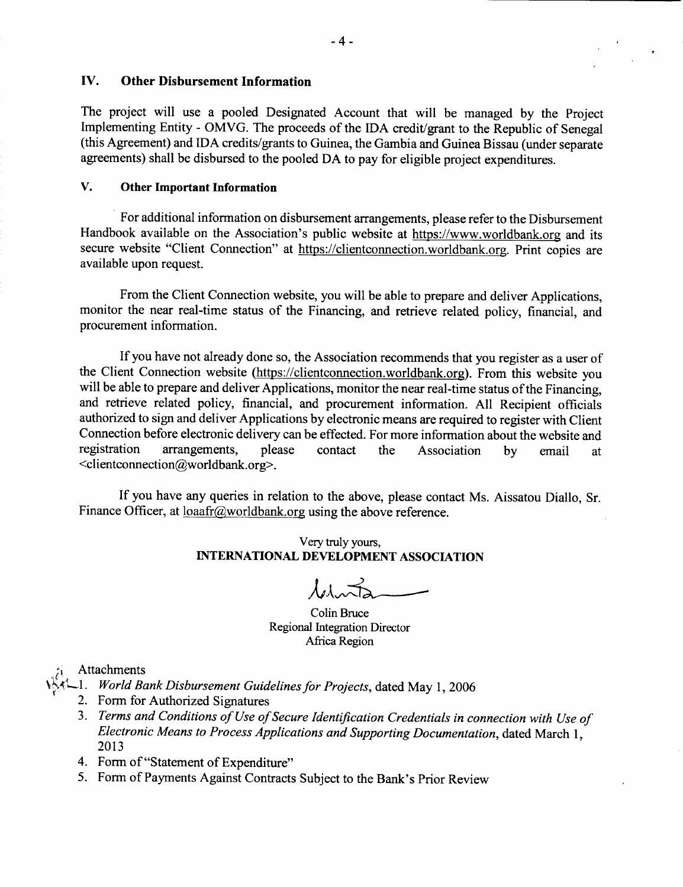## **IV. Other Disbursement Information**

The project will use a pooled Designated Account that will be managed **by** the Project Implementing Entity **-** OMVG. The proceeds of the **IDA** credit/grant to the Republic of Senegal (this Agreement) and **IDA** credits/grants to Guinea, the Gambia and Guinea Bissau (under separate agreements) shall be disbursed to the pooled **DA** to pay for eligible project expenditures.

### **V. Other Important Information**

For additional information on disbursement arrangements, please refer to the Disbursement Handbook available on the Association's public website at https://www.worldbank.org and its secure website "Client Connection" at https://clientconnection.worldbank.org. Print copies are available upon request.

From the Client Connection website, you will be able to prepare and deliver Applications, monitor the near real-time status of the Financing, and retrieve related policy, financial, and procurement information.

**If** you have not already done so, the Association recommends that you register as a user of the Client Connection website (https://clientconnection.worldbank.org). From this website you will be able to prepare and deliver Applications, monitor the near real-time status of the Financing, and retrieve related policy, financial, and procurement information. **All** Recipient officials authorized to sign and deliver Applications **by** electronic means are required to register with Client Connection before electronic delivery can be effected. For more information about the website and registration arrangements, please contact the Association by email at arrangements, please contact the Association by email at <clientconnection@worldbank.org>.

**If** you have any queries in relation to the above, please contact Ms. Aissatou Diallo, Sr. Finance Officer, at  $\frac{\text{load}r(\alpha)}{w}$  orldbank.org using the above reference.

## Very truly yours, **INTERNATIONAL DEVELOPMENT ASSOCIATION**

Colin Bruce Regional Integration Director Africa Region

Attachments

- ..1. *World Bank Disbursement Guidelines for Projects,* dated May **1, 2006**
	- 2. Form for Authorized Signatures
	- **3.** *Terms and Conditions of Use ofSecure Identification Credentials in connection with Use of Electronic Means to Process Applications and Supporting Documentation, dated March 1, 2013*
	- 4. Form of "Statement of Expenditure"
	- *5.* Form of Payments Against Contracts Subject to the Bank's Prior Review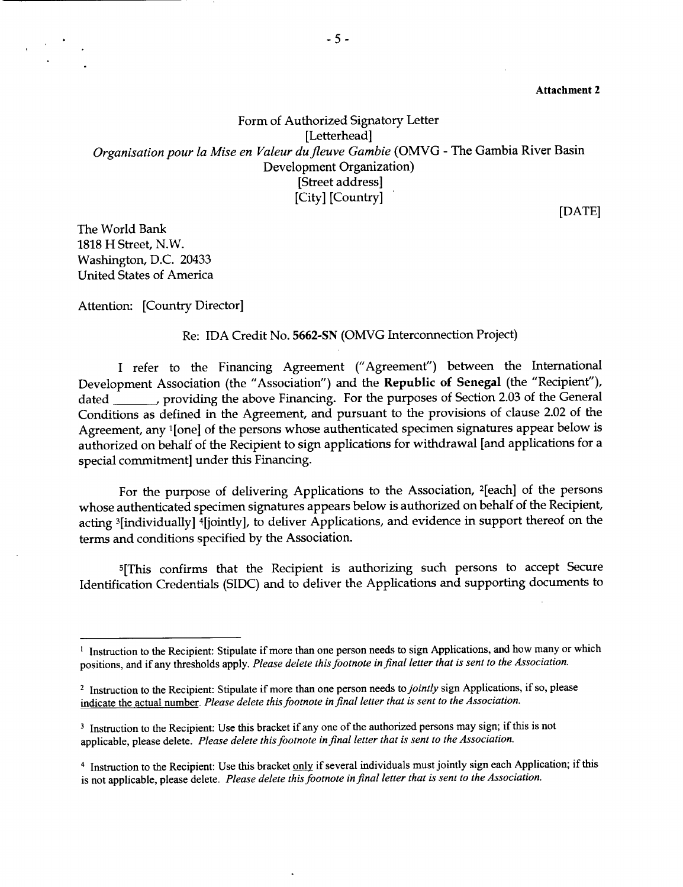Attachment 2

Form of Authorized Signatory Letter [Letterhead] *Organisation pour la Mise en Valeur dufleuve Gambie (OMVG* **-** The Gambia River Basin Development Organization) [Street address] [City] [Country]

**[DATE]**

The World Bank **1818** H Street, N.W. Washington, **D.C.** 20433 United States of America

Attention: [Country Director]

Re: **IDA** Credit No. **5662-SN** (OMVG Interconnection Project)

**<sup>I</sup>**refer to the Financing Agreement ("Agreement") between the International Development Association (the "Association") and the Republic of Senegal (the "Recipient"), dated providing the above Financing. For the purposes of Section **2.03** of the General Conditions as defined in the Agreement, and pursuant to the provisions of clause 2.02 of the Agreement, any 1[one] of the persons whose authenticated specimen signatures appear below is authorized on behalf of the Recipient to sign applications for withdrawal [and applications for a special commitment] under this Financing.

For the purpose of delivering Applications to the Association, 2[each] of the persons whose authenticated specimen signatures appears below is authorized on behalf of the Recipient, acting 3[individually] 4[jointly], to deliver Applications, and evidence in support thereof on the terms and conditions specified **by** the Association.

5[This confirms that the Recipient is authorizing such persons to accept Secure Identification Credentials (SIDC) and to deliver the Applications and supporting documents to

<sup>&</sup>lt;sup>1</sup> Instruction to the Recipient: Stipulate if more than one person needs to sign Applications, and how many or which positions, and if any thresholds apply. *Please delete this footnote in final letter that is sent to the Association.*

<sup>2</sup> Instruction to the Recipient: Stipulate if more than one person needs *to jointly* sign Applications, if so, please indicate the actual number. *Please delete this footnote in final letter that is sent to the Association.*

<sup>&</sup>lt;sup>3</sup> Instruction to the Recipient: Use this bracket if any one of the authorized persons may sign; if this is not applicable, please delete. *Please delete this footnote infinal letter that is sent to the Association.*

<sup>4</sup> Instruction to the Recipient: Use this bracket **only** if several individuals must jointly sign each Application; if this is not applicable, please delete. *Please delete this footnote infinal letter that is sent to the Association.*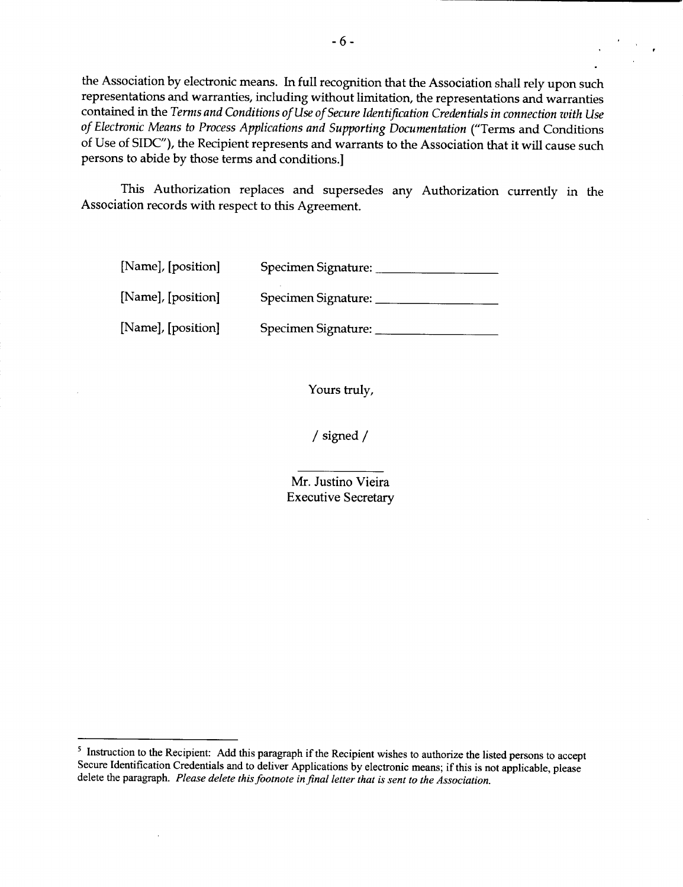the Association **by** electronic means. In full recognition that the Association shall rely upon such representations and warranties, including without limitation, the representations and warranties contained in the *Terms and Conditions of Use of Secure Identification Credentials in connection with Use of Electronic Means to Process Applications and Supporting Documentation* ("Terms and Conditions of Use of **SIDC"),** the Recipient represents and warrants to the Association that it will cause such persons to abide **by** those terms and conditions.]

This Authorization replaces and supersedes any Authorization currently in the Association records with respect to this Agreement.

| [Name], [position] | Specimen Signature: |
|--------------------|---------------------|
| [Name], [position] | Specimen Signature: |
| [Name], [position] | Specimen Signature: |

Yours truly,

**/** signed **/**

Mr. Justino Vieira Executive Secretary

<sup>&</sup>lt;sup>5</sup> Instruction to the Recipient: Add this paragraph if the Recipient wishes to authorize the listed persons to accept Secure Identification Credentials and to deliver Applications by electronic means; if this is not appl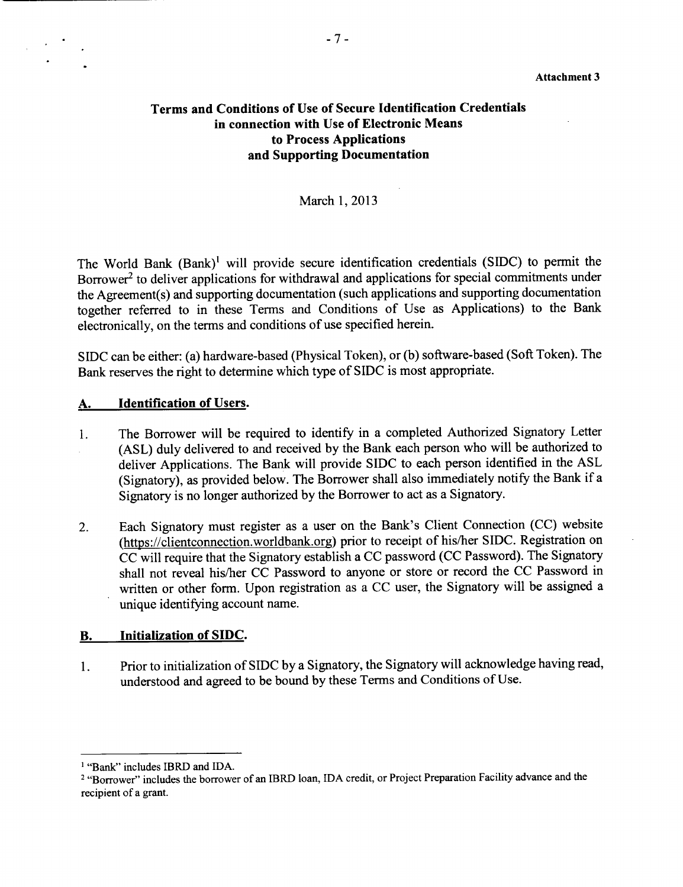## **Terms and Conditions of Use of Secure Identification Credentials in connection with Use of Electronic Means to Process Applications and Supporting Documentation**

## March **1, 2013**

The World Bank (Bank)' will provide secure identification credentials **(SIDC)** to permit the Borrower<sup>2</sup> to deliver applications for withdrawal and applications for special commitments under the Agreement(s) and supporting documentation (such applications and supporting documentation together referred to in these Terms and Conditions of Use as Applications) to the Bank electronically, on the terms and conditions of use specified herein.

**SIDC** can be either: (a) hardware-based (Physical Token), or **(b)** software-based (Soft Token). The Bank reserves the right to determine which type of **SIDC** is most appropriate.

#### **A. Identification of** Users.

- 1. The Borrower will be required to identify in a completed Authorized Signatory Letter **(ASL)** duly delivered to and received **by** the Bank each person who will be authorized to deliver Applications. The Bank will provide **SIDC** to each person identified in the **ASL** (Signatory), as provided below. The Borrower shall also immediately notify the Bank if a Signatory is no longer authorized **by** the Borrower to act as a Signatory.
- 2. Each Signatory must register as a user on the Bank's Client Connection **(CC)** website (https://clientconnection.worldbank.org) prior to receipt of his/her **SIDC.** Registration on **CC** will require that the Signatory establish a **CC** password **(CC** Password). The Signatory shall not reveal his/her **CC** Password to anyone or store or record the **CC** Password in written or other form. Upon registration as a **CC** user, the Signatory will be assigned a unique identifying account name.

### B. **Initialization of SIDC.**

1. Prior to initialization of **SIDC by** a Signatory, the Signatory will acknowledge having read, understood and agreed to be bound **by** these Terms and Conditions of Use.

<sup>&#</sup>x27;"Bank" includes IBRD and **IDA.**

<sup>2</sup> "Borrower" includes the borrower of an IBRD loan, **IDA** credit, or Project Preparation Facility advance and the recipient of a grant.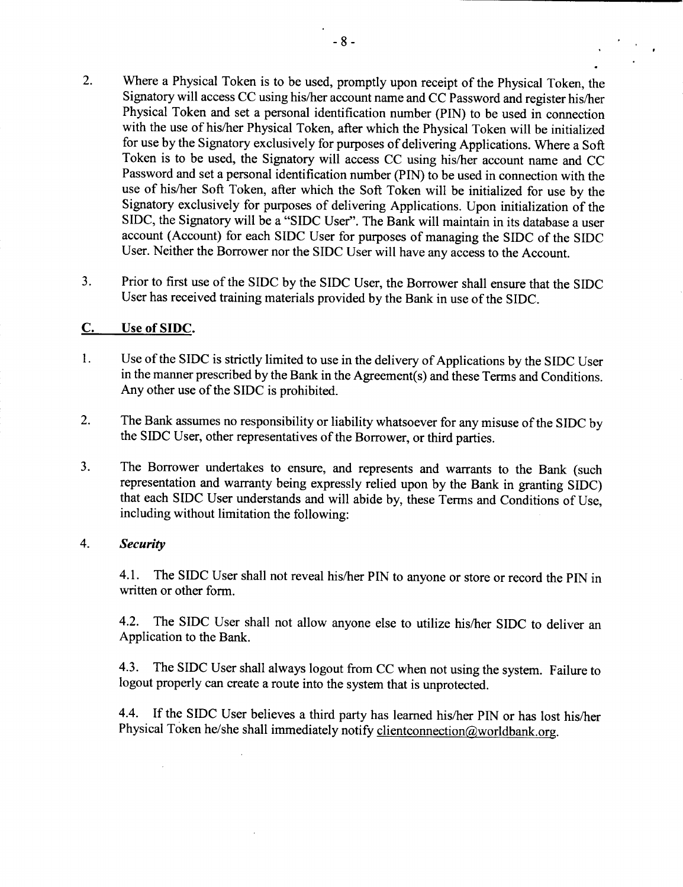- 2. Where a Physical Token is to **be** used, promptly upon receipt of the Physical Token, the Signatory will access **CC** using his/her account name and **CC** Password and register his/her Physical Token and set a personal identification number **(PIN)** to be used in connection with the use of his/her Physical Token, after which the Physical Token will be initialized for use **by** the Signatory exclusively for purposes of delivering Applications. Where a Soft Token is to be used, the Signatory will access **CC** using his/her account name and **CC** Password and set a personal identification number **(PIN)** to be used in connection with the use of his/her Soft Token, after which the Soft Token will be initialized for use **by** the Signatory exclusively for purposes of delivering Applications. Upon initialization of the SIDC, the Signatory will be a **"SIDC** User". The Bank will maintain in its database a user account (Account) for each **SIDC** User for purposes of managing the **SIDC** of the **SIDC** User. Neither the Borrower nor the **SIDC** User will have any access to the Account.
- **3.** Prior to first use of the **SIDC by** the **SIDC** User, the Borrower shall ensure that the **SIDC** User has received training materials provided **by** the Bank in use of the **SIDC.**

## **C.** Use of **SIDC.**

- 1. Use of the **SIDC** is strictly limited to use in the delivery of Applications **by** the **SIDC** User in the manner prescribed **by** the Bank in the Agreement(s) and these Terms and Conditions. Any other use of the **SIDC** is prohibited.
- 2. The Bank assumes no responsibility or liability whatsoever for any misuse of the **SIDC by** the **SIDC** User, other representatives of the Borrower, or third parties.
- **3.** The Borrower undertakes to ensure, and represents and warrants to the Bank (such representation and warranty being expressly relied upon **by** the Bank in granting **SIDC)** that each **SIDC** User understands and will abide **by,** these Terms and Conditions of Use, including without limitation the following:

### 4. *Security*

4.1. The SIDC User shall not reveal his/her **PIN** to anyone or store or record the **PIN** in written or other form.

4.2. The **SIDC** User shall not allow anyone else to utilize his/her **SIDC** to deliver an Application to the Bank.

4.3. The SIDC User shall always logout from **CC** when not using the system. Failure to logout properly can create a route into the system that is unprotected.

4.4. **If** the **SIDC** User believes a third party has learned his/her **PIN** or has lost his/her Physical Token he/she shall immediately notify clientconnection@worldbank.org.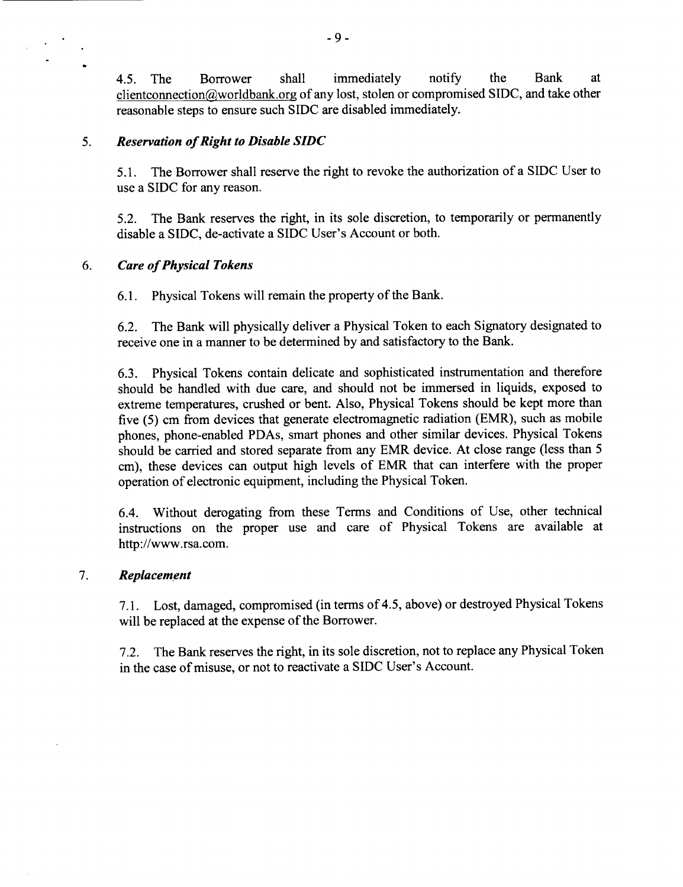4.5. The Borrower shall immediately notify the Bank at clientconnection@worldbank.org of any lost, stolen or compromised **SIDC,** and take other reasonable steps to ensure such **SIDC** are disabled immediately.

## **5.** *Reservation of Right to Disable SIDC*

**5.1.** The Borrower shall reserve the right to revoke the authorization of a **SIDC** User to use a **SIDC** for any reason.

**5.2.** The Bank reserves the right, in its sole discretion, to temporarily or permanently disable a **SIDC,** de-activate a **SIDC** User's Account or both.

## *6. Care of Physical Tokens*

**6.1.** Physical Tokens will remain the property of the Bank.

**6.2.** The Bank will physically deliver a Physical Token to each Signatory designated to receive one in a manner to be determined **by** and satisfactory to the Bank.

**6.3.** Physical Tokens contain delicate and sophisticated instrumentation and therefore should be handled with due care, and should not be immersed in liquids, exposed to extreme temperatures, crushed or bent. Also, Physical Tokens should be kept more than five **(5)** cm from devices that generate electromagnetic radiation (EMR), such as mobile phones, phone-enabled PDAs, smart phones and other similar devices. Physical Tokens should be carried and stored separate from any EMR device. At close range (less than **5** cm), these devices can output high levels of EMR that can interfere with the proper operation of electronic equipment, including the Physical Token.

6.4. Without derogating from these Terms and Conditions of Use, other technical instructions on the proper use and care of Physical Tokens are available at http://www.rsa.com.

## **7.** *Replacement*

**7.1.** Lost, damaged, compromised (in terms of 4.5, above) or destroyed Physical Tokens will be replaced at the expense of the Borrower.

**7.2.** The Bank reserves the right, in its sole discretion, not to replace any Physical Token in the case of misuse, or not to reactivate a **SIDC** User's Account.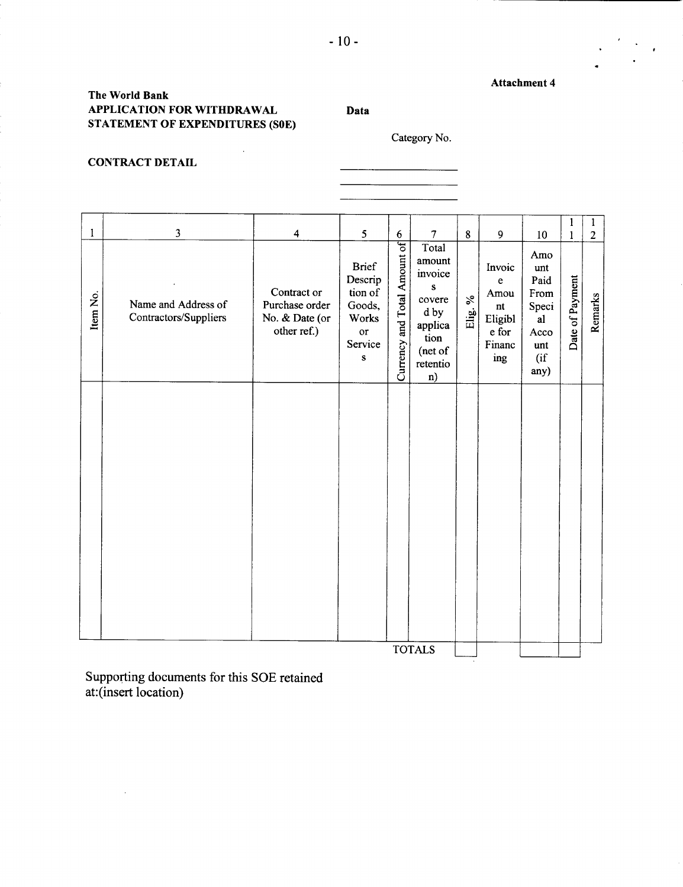### **Attachment 4**

## **The World Bank APPLICATION FOR WITHDRAWAL Data STATEMENT OF EXPENDITURES (SOE)**

 $\ddot{\phantom{a}}$ 

Category No.

 $\frac{1}{2}$  . The contract of  $\frac{1}{2}$  ,  $\frac{1}{2}$  ,  $\frac{1}{2}$  ,  $\frac{1}{2}$  ,  $\frac{1}{2}$  ,  $\frac{1}{2}$  ,  $\frac{1}{2}$  ,  $\frac{1}{2}$  ,  $\frac{1}{2}$  ,  $\frac{1}{2}$  ,  $\frac{1}{2}$  ,  $\frac{1}{2}$  ,  $\frac{1}{2}$  ,  $\frac{1}{2}$  ,  $\frac{1}{2}$  ,  $\frac{1}{2}$  ,

## **CONTRACT DETAIL**

|              |                                              |                                                                |                                                                                     |                              |                                                                                                           |                  |                                                                                    |                                                                         | 1               | 1              |
|--------------|----------------------------------------------|----------------------------------------------------------------|-------------------------------------------------------------------------------------|------------------------------|-----------------------------------------------------------------------------------------------------------|------------------|------------------------------------------------------------------------------------|-------------------------------------------------------------------------|-----------------|----------------|
| $\mathbf{I}$ | $\overline{\mathbf{3}}$                      | $\overline{\mathbf{4}}$                                        | 5                                                                                   | 6                            | $\overline{7}$                                                                                            | 8                | 9                                                                                  | 10                                                                      | 1               | $\overline{2}$ |
| Item No.     | Name and Address of<br>Contractors/Suppliers | Contract or<br>Purchase order<br>No. & Date (or<br>other ref.) | <b>Brief</b><br>Descrip<br>tion of<br>Goods,<br>Works<br>or<br>Service<br>${\bf S}$ | Currency and Total Amount of | Total<br>amount<br>invoice<br>${\bf S}$<br>covere<br>d by<br>applica<br>tion<br>(net of<br>retentio<br>n) | $\%$<br>$Elig$ . | Invoic<br>e<br>Amou<br>$\mathop{\mathsf{nt}}$<br>Eligibl<br>e for<br>Financ<br>ing | Amo<br>unt<br>Paid<br>From<br>Speci<br>al<br>Acco<br>unt<br>(if<br>any) | Date of Payment | Remarks        |
|              |                                              |                                                                |                                                                                     |                              |                                                                                                           |                  |                                                                                    |                                                                         |                 |                |
|              |                                              |                                                                |                                                                                     |                              | <b>TOTALS</b>                                                                                             |                  |                                                                                    |                                                                         |                 |                |

Supporting documents for this **SOE** retained at:(insert location)

 $\sim 10^7$